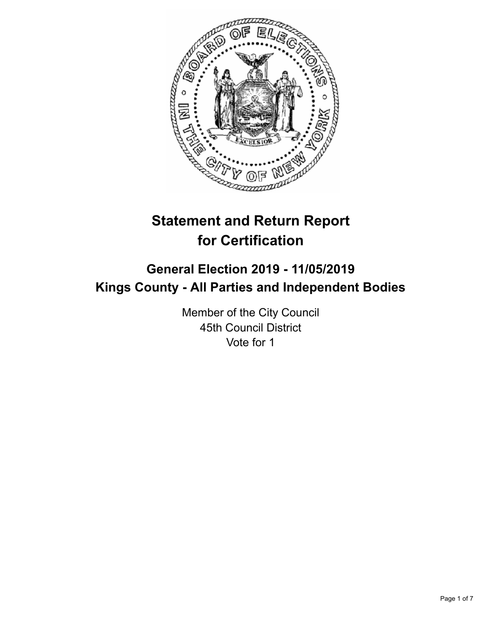

# **Statement and Return Report for Certification**

## **General Election 2019 - 11/05/2019 Kings County - All Parties and Independent Bodies**

Member of the City Council 45th Council District Vote for 1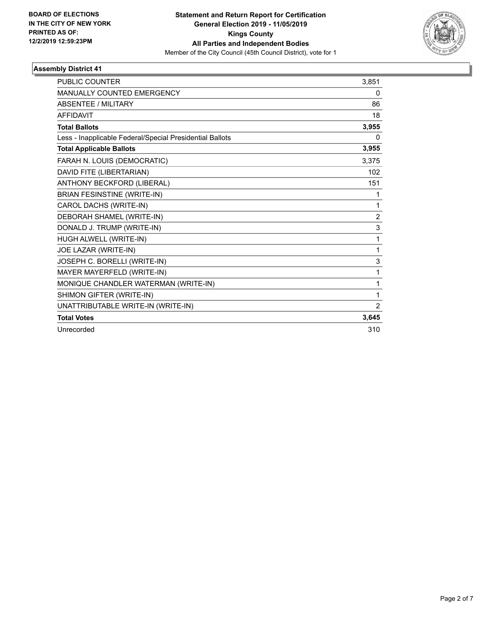

| <b>PUBLIC COUNTER</b>                                    | 3,851          |
|----------------------------------------------------------|----------------|
| <b>MANUALLY COUNTED EMERGENCY</b>                        | 0              |
| <b>ABSENTEE / MILITARY</b>                               | 86             |
| <b>AFFIDAVIT</b>                                         | 18             |
| <b>Total Ballots</b>                                     | 3,955          |
| Less - Inapplicable Federal/Special Presidential Ballots | 0              |
| <b>Total Applicable Ballots</b>                          | 3,955          |
| FARAH N. LOUIS (DEMOCRATIC)                              | 3,375          |
| DAVID FITE (LIBERTARIAN)                                 | 102            |
| ANTHONY BECKFORD (LIBERAL)                               | 151            |
| <b>BRIAN FESINSTINE (WRITE-IN)</b>                       | 1              |
| CAROL DACHS (WRITE-IN)                                   | 1              |
| DEBORAH SHAMEL (WRITE-IN)                                | $\overline{2}$ |
| DONALD J. TRUMP (WRITE-IN)                               | 3              |
| HUGH ALWELL (WRITE-IN)                                   | 1              |
| JOE LAZAR (WRITE-IN)                                     | 1              |
| JOSEPH C. BORELLI (WRITE-IN)                             | 3              |
| MAYER MAYERFELD (WRITE-IN)                               | 1              |
| MONIQUE CHANDLER WATERMAN (WRITE-IN)                     | 1              |
| SHIMON GIFTER (WRITE-IN)                                 | 1              |
| UNATTRIBUTABLE WRITE-IN (WRITE-IN)                       | 2              |
| <b>Total Votes</b>                                       | 3,645          |
| Unrecorded                                               | 310            |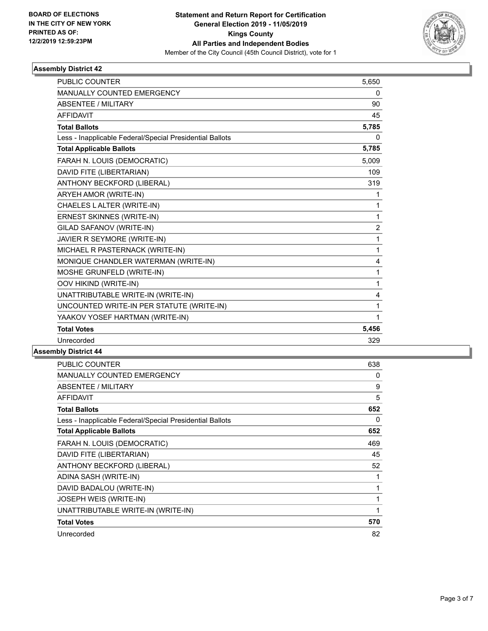

| <b>PUBLIC COUNTER</b>                                    | 5,650          |
|----------------------------------------------------------|----------------|
| MANUALLY COUNTED EMERGENCY                               | $\mathbf{0}$   |
| <b>ABSENTEE / MILITARY</b>                               | 90             |
| <b>AFFIDAVIT</b>                                         | 45             |
| <b>Total Ballots</b>                                     | 5,785          |
| Less - Inapplicable Federal/Special Presidential Ballots | $\Omega$       |
| <b>Total Applicable Ballots</b>                          | 5,785          |
| FARAH N. LOUIS (DEMOCRATIC)                              | 5.009          |
| DAVID FITE (LIBERTARIAN)                                 | 109            |
| ANTHONY BECKFORD (LIBERAL)                               | 319            |
| ARYEH AMOR (WRITE-IN)                                    | 1              |
| CHAELES LALTER (WRITE-IN)                                | 1              |
| ERNEST SKINNES (WRITE-IN)                                | 1              |
| GILAD SAFANOV (WRITE-IN)                                 | $\overline{c}$ |
| JAVIER R SEYMORE (WRITE-IN)                              | 1              |
| MICHAEL R PASTERNACK (WRITE-IN)                          | 1              |
| MONIQUE CHANDLER WATERMAN (WRITE-IN)                     | 4              |
| MOSHE GRUNFELD (WRITE-IN)                                | 1              |
| OOV HIKIND (WRITE-IN)                                    | 1              |
| UNATTRIBUTABLE WRITE-IN (WRITE-IN)                       | 4              |
| UNCOUNTED WRITE-IN PER STATUTE (WRITE-IN)                | 1              |
| YAAKOV YOSEF HARTMAN (WRITE-IN)                          | 1              |
| <b>Total Votes</b>                                       | 5,456          |
| Unrecorded                                               | 329            |

| PUBLIC COUNTER                                           | 638 |
|----------------------------------------------------------|-----|
| MANUALLY COUNTED EMERGENCY                               | 0   |
| ABSENTEE / MILITARY                                      | 9   |
| AFFIDAVIT                                                | 5   |
| <b>Total Ballots</b>                                     | 652 |
| Less - Inapplicable Federal/Special Presidential Ballots | 0   |
| <b>Total Applicable Ballots</b>                          | 652 |
| FARAH N. LOUIS (DEMOCRATIC)                              | 469 |
| DAVID FITE (LIBERTARIAN)                                 | 45  |
| ANTHONY BECKFORD (LIBERAL)                               | 52  |
| ADINA SASH (WRITE-IN)                                    |     |
| DAVID BADALOU (WRITE-IN)                                 |     |
| JOSEPH WEIS (WRITE-IN)                                   | 1   |
| UNATTRIBUTABLE WRITE-IN (WRITE-IN)                       |     |
| <b>Total Votes</b>                                       | 570 |
| Unrecorded                                               | 82  |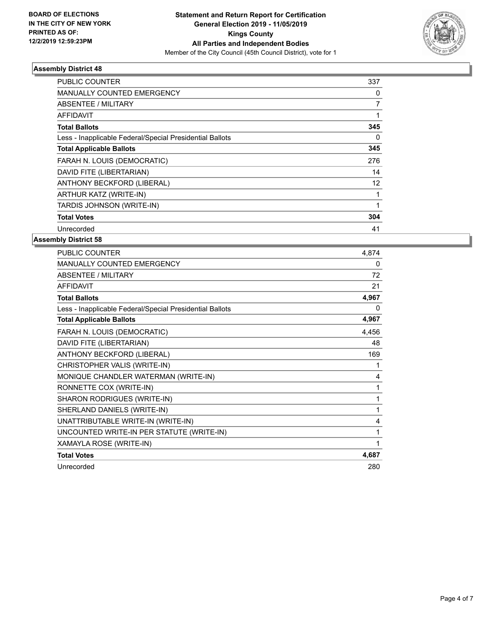

| <b>PUBLIC COUNTER</b>                                    | 337            |
|----------------------------------------------------------|----------------|
| <b>MANUALLY COUNTED EMERGENCY</b>                        | 0              |
| ABSENTEE / MILITARY                                      | $\overline{7}$ |
| <b>AFFIDAVIT</b>                                         |                |
| <b>Total Ballots</b>                                     | 345            |
| Less - Inapplicable Federal/Special Presidential Ballots | 0              |
| <b>Total Applicable Ballots</b>                          | 345            |
| FARAH N. LOUIS (DEMOCRATIC)                              | 276            |
| DAVID FITE (LIBERTARIAN)                                 | 14             |
| ANTHONY BECKFORD (LIBERAL)                               | 12             |
| ARTHUR KATZ (WRITE-IN)                                   | 1              |
| TARDIS JOHNSON (WRITE-IN)                                |                |
| <b>Total Votes</b>                                       | 304            |
| Unrecorded                                               | 41             |

| <b>PUBLIC COUNTER</b>                                    | 4,874    |
|----------------------------------------------------------|----------|
| <b>MANUALLY COUNTED EMERGENCY</b>                        | $\Omega$ |
| <b>ABSENTEE / MILITARY</b>                               | 72       |
| <b>AFFIDAVIT</b>                                         | 21       |
| <b>Total Ballots</b>                                     | 4,967    |
| Less - Inapplicable Federal/Special Presidential Ballots | 0        |
| <b>Total Applicable Ballots</b>                          | 4,967    |
| FARAH N. LOUIS (DEMOCRATIC)                              | 4,456    |
| DAVID FITE (LIBERTARIAN)                                 | 48       |
| ANTHONY BECKFORD (LIBERAL)                               | 169      |
| CHRISTOPHER VALIS (WRITE-IN)                             | 1        |
| MONIQUE CHANDLER WATERMAN (WRITE-IN)                     | 4        |
| RONNETTE COX (WRITE-IN)                                  | 1        |
| SHARON RODRIGUES (WRITE-IN)                              | 1        |
| SHERLAND DANIELS (WRITE-IN)                              | 1        |
| UNATTRIBUTABLE WRITE-IN (WRITE-IN)                       | 4        |
| UNCOUNTED WRITE-IN PER STATUTE (WRITE-IN)                | 1        |
| XAMAYLA ROSE (WRITE-IN)                                  | 1        |
| <b>Total Votes</b>                                       | 4,687    |
| Unrecorded                                               | 280      |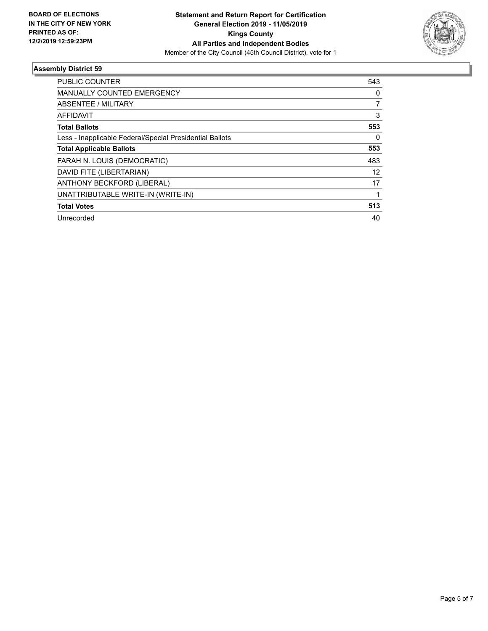

| PUBLIC COUNTER                                           | 543            |
|----------------------------------------------------------|----------------|
| <b>MANUALLY COUNTED EMERGENCY</b>                        | 0              |
| ABSENTEE / MILITARY                                      | $\overline{7}$ |
| <b>AFFIDAVIT</b>                                         | 3              |
| <b>Total Ballots</b>                                     | 553            |
| Less - Inapplicable Federal/Special Presidential Ballots | 0              |
| <b>Total Applicable Ballots</b>                          | 553            |
| FARAH N. LOUIS (DEMOCRATIC)                              | 483            |
| DAVID FITE (LIBERTARIAN)                                 | 12             |
| ANTHONY BECKFORD (LIBERAL)                               | 17             |
| UNATTRIBUTABLE WRITE-IN (WRITE-IN)                       |                |
| <b>Total Votes</b>                                       | 513            |
| Unrecorded                                               | 40             |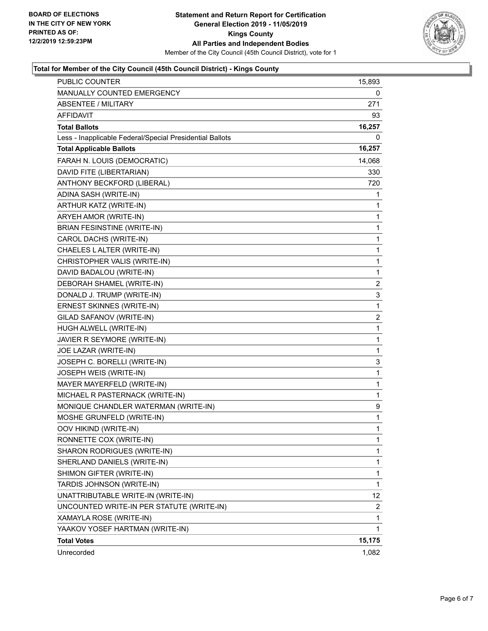

## **Total for Member of the City Council (45th Council District) - Kings County**

| <b>PUBLIC COUNTER</b>                                    | 15,893       |
|----------------------------------------------------------|--------------|
| MANUALLY COUNTED EMERGENCY                               | 0            |
| <b>ABSENTEE / MILITARY</b>                               | 271          |
| AFFIDAVIT                                                | 93           |
| <b>Total Ballots</b>                                     | 16,257       |
| Less - Inapplicable Federal/Special Presidential Ballots | 0            |
| <b>Total Applicable Ballots</b>                          | 16,257       |
| FARAH N. LOUIS (DEMOCRATIC)                              | 14,068       |
| DAVID FITE (LIBERTARIAN)                                 | 330          |
| ANTHONY BECKFORD (LIBERAL)                               | 720          |
| ADINA SASH (WRITE-IN)                                    | 1            |
| ARTHUR KATZ (WRITE-IN)                                   | 1            |
| ARYEH AMOR (WRITE-IN)                                    | 1            |
| <b>BRIAN FESINSTINE (WRITE-IN)</b>                       | 1            |
| CAROL DACHS (WRITE-IN)                                   | 1            |
| CHAELES L ALTER (WRITE-IN)                               | $\mathbf{1}$ |
| CHRISTOPHER VALIS (WRITE-IN)                             | 1            |
| DAVID BADALOU (WRITE-IN)                                 | 1            |
| DEBORAH SHAMEL (WRITE-IN)                                | 2            |
| DONALD J. TRUMP (WRITE-IN)                               | 3            |
| ERNEST SKINNES (WRITE-IN)                                | $\mathbf 1$  |
| GILAD SAFANOV (WRITE-IN)                                 | 2            |
| HUGH ALWELL (WRITE-IN)                                   | 1            |
| JAVIER R SEYMORE (WRITE-IN)                              | 1            |
| JOE LAZAR (WRITE-IN)                                     | 1            |
| JOSEPH C. BORELLI (WRITE-IN)                             | 3            |
| JOSEPH WEIS (WRITE-IN)                                   | 1            |
| MAYER MAYERFELD (WRITE-IN)                               | $\mathbf{1}$ |
| MICHAEL R PASTERNACK (WRITE-IN)                          | 1            |
| MONIQUE CHANDLER WATERMAN (WRITE-IN)                     | 9            |
| MOSHE GRUNFELD (WRITE-IN)                                | $\mathbf{1}$ |
| OOV HIKIND (WRITE-IN)                                    | 1            |
| RONNETTE COX (WRITE-IN)                                  | 1            |
| SHARON RODRIGUES (WRITE-IN)                              | 1            |
| SHERLAND DANIELS (WRITE-IN)                              | 1            |
| SHIMON GIFTER (WRITE-IN)                                 | 1            |
| TARDIS JOHNSON (WRITE-IN)                                | 1            |
| UNATTRIBUTABLE WRITE-IN (WRITE-IN)                       | 12           |
| UNCOUNTED WRITE-IN PER STATUTE (WRITE-IN)                | 2            |
| XAMAYLA ROSE (WRITE-IN)                                  | 1            |
| YAAKOV YOSEF HARTMAN (WRITE-IN)                          | 1            |
| <b>Total Votes</b>                                       | 15,175       |
| Unrecorded                                               | 1,082        |